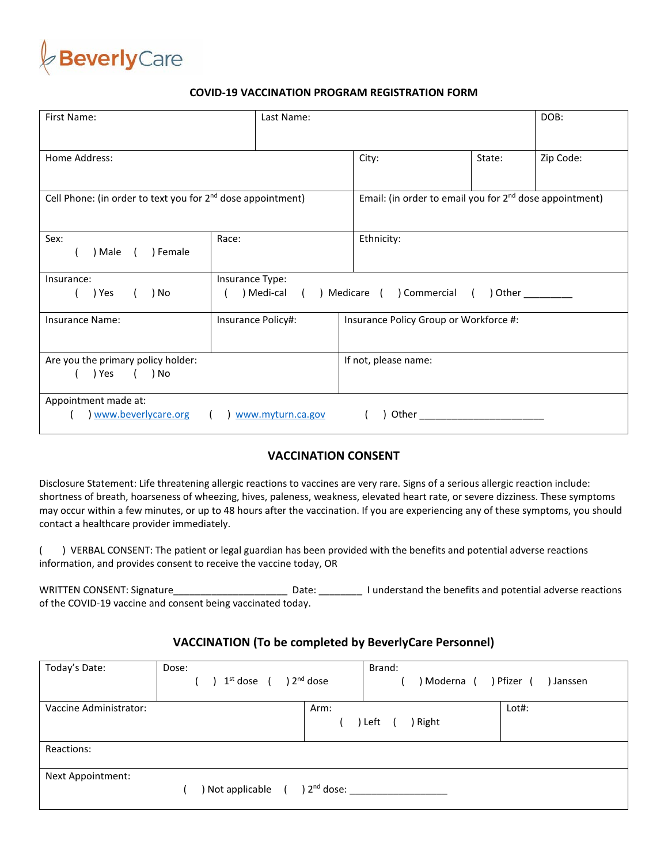

## **COVID-19 VACCINATION PROGRAM REGISTRATION FORM**

| First Name:                                                               | Last Name:                                                              |                                                                     |        | DOB:      |  |
|---------------------------------------------------------------------------|-------------------------------------------------------------------------|---------------------------------------------------------------------|--------|-----------|--|
| Home Address:                                                             |                                                                         | City:                                                               | State: | Zip Code: |  |
| Cell Phone: (in order to text you for 2 <sup>nd</sup> dose appointment)   |                                                                         | Email: (in order to email you for 2 <sup>nd</sup> dose appointment) |        |           |  |
| Sex:<br>) Male (<br>) Female                                              | Race:                                                                   | Ethnicity:                                                          |        |           |  |
| Insurance:<br>) Yes<br>) No                                               | Insurance Type:<br>) Medi-cal<br>) Medicare ( ) Commercial (<br>) Other |                                                                     |        |           |  |
| Insurance Name:                                                           | Insurance Policy#:                                                      | Insurance Policy Group or Workforce #:                              |        |           |  |
| Are you the primary policy holder:<br>) Yes<br>( ) No                     |                                                                         | If not, please name:                                                |        |           |  |
| Appointment made at:<br>www.beverlycare.org<br>Other<br>www.myturn.ca.gov |                                                                         |                                                                     |        |           |  |

## **VACCINATION CONSENT**

Disclosure Statement: Life threatening allergic reactions to vaccines are very rare. Signs of a serious allergic reaction include: shortness of breath, hoarseness of wheezing, hives, paleness, weakness, elevated heart rate, or severe dizziness. These symptoms may occur within a few minutes, or up to 48 hours after the vaccination. If you are experiencing any of these symptoms, you should contact a healthcare provider immediately.

( ) VERBAL CONSENT: The patient or legal guardian has been provided with the benefits and potential adverse reactions information, and provides consent to receive the vaccine today, OR

WRITTEN CONSENT: Signature\_\_\_\_\_\_\_\_\_\_\_\_\_\_\_\_\_\_\_\_\_ Date: \_\_\_\_\_\_\_\_ I understand the benefits and potential adverse reactions of the COVID-19 vaccine and consent being vaccinated today.

## **VACCINATION (To be completed by BeverlyCare Personnel)**

| Today's Date:          | Dose:<br>$1st$ dose ( | Brand:<br>) 2 <sup>nd</sup> dose<br>) Moderna ( | Pfizer (<br>) Janssen |
|------------------------|-----------------------|-------------------------------------------------|-----------------------|
| Vaccine Administrator: |                       | Arm:<br>) Right<br>Left                         | Lot#:                 |
| Reactions:             |                       |                                                 |                       |
| Next Appointment:      | ) Not applicable      | ) $2^{nd}$ dose:                                |                       |